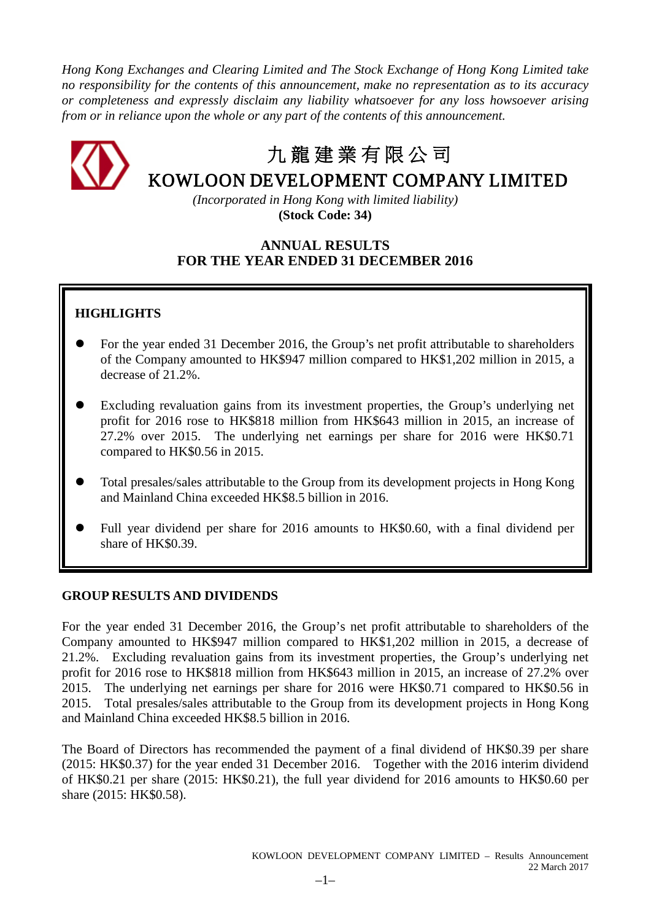*Hong Kong Exchanges and Clearing Limited and The Stock Exchange of Hong Kong Limited take no responsibility for the contents of this announcement, make no representation as to its accuracy or completeness and expressly disclaim any liability whatsoever for any loss howsoever arising from or in reliance upon the whole or any part of the contents of this announcement.*



# 九 龍 建 業 有 限 公 司

# KOWLOON DEVELOPMENT COMPANY LIMITED

*(Incorporated in Hong Kong with limited liability)* **(Stock Code: 34)**

# **ANNUAL RESULTS FOR THE YEAR ENDED 31 DECEMBER 2016**

# **HIGHLIGHTS**

- For the year ended 31 December 2016, the Group's net profit attributable to shareholders of the Company amounted to HK\$947 million compared to HK\$1,202 million in 2015, a decrease of 21.2%.
- Excluding revaluation gains from its investment properties, the Group's underlying net profit for 2016 rose to HK\$818 million from HK\$643 million in 2015, an increase of 27.2% over 2015. The underlying net earnings per share for 2016 were HK\$0.71 compared to HK\$0.56 in 2015.
- Total presales/sales attributable to the Group from its development projects in Hong Kong and Mainland China exceeded HK\$8.5 billion in 2016.
- Full year dividend per share for 2016 amounts to HK\$0.60, with a final dividend per share of HK\$0.39.

# **GROUP RESULTS AND DIVIDENDS**

For the year ended 31 December 2016, the Group's net profit attributable to shareholders of the Company amounted to HK\$947 million compared to HK\$1,202 million in 2015, a decrease of 21.2%. Excluding revaluation gains from its investment properties, the Group's underlying net profit for 2016 rose to HK\$818 million from HK\$643 million in 2015, an increase of 27.2% over 2015. The underlying net earnings per share for 2016 were HK\$0.71 compared to HK\$0.56 in 2015. Total presales/sales attributable to the Group from its development projects in Hong Kong and Mainland China exceeded HK\$8.5 billion in 2016.

The Board of Directors has recommended the payment of a final dividend of HK\$0.39 per share (2015: HK\$0.37) for the year ended 31 December 2016. Together with the 2016 interim dividend of HK\$0.21 per share (2015: HK\$0.21), the full year dividend for 2016 amounts to HK\$0.60 per share (2015: HK\$0.58).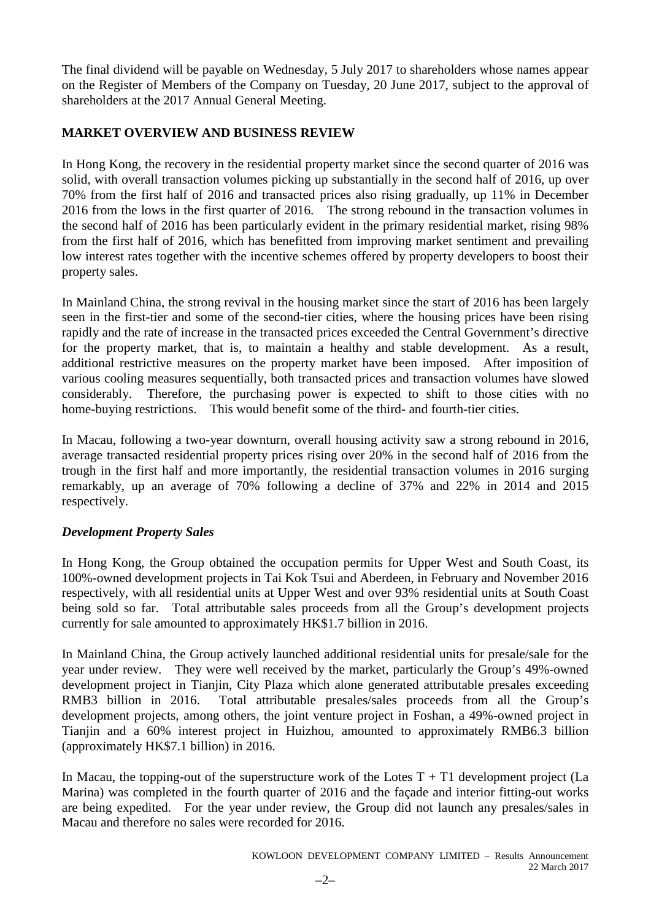The final dividend will be payable on Wednesday, 5 July 2017 to shareholders whose names appear on the Register of Members of the Company on Tuesday, 20 June 2017, subject to the approval of shareholders at the 2017 Annual General Meeting.

# **MARKET OVERVIEW AND BUSINESS REVIEW**

In Hong Kong, the recovery in the residential property market since the second quarter of 2016 was solid, with overall transaction volumes picking up substantially in the second half of 2016, up over 70% from the first half of 2016 and transacted prices also rising gradually, up 11% in December 2016 from the lows in the first quarter of 2016. The strong rebound in the transaction volumes in the second half of 2016 has been particularly evident in the primary residential market, rising 98% from the first half of 2016, which has benefitted from improving market sentiment and prevailing low interest rates together with the incentive schemes offered by property developers to boost their property sales.

In Mainland China, the strong revival in the housing market since the start of 2016 has been largely seen in the first-tier and some of the second-tier cities, where the housing prices have been rising rapidly and the rate of increase in the transacted prices exceeded the Central Government's directive for the property market, that is, to maintain a healthy and stable development. As a result, additional restrictive measures on the property market have been imposed. After imposition of various cooling measures sequentially, both transacted prices and transaction volumes have slowed considerably. Therefore, the purchasing power is expected to shift to those cities with no home-buying restrictions. This would benefit some of the third- and fourth-tier cities.

In Macau, following a two-year downturn, overall housing activity saw a strong rebound in 2016, average transacted residential property prices rising over 20% in the second half of 2016 from the trough in the first half and more importantly, the residential transaction volumes in 2016 surging remarkably, up an average of 70% following a decline of 37% and 22% in 2014 and 2015 respectively.

# *Development Property Sales*

In Hong Kong, the Group obtained the occupation permits for Upper West and South Coast, its 100%-owned development projects in Tai Kok Tsui and Aberdeen, in February and November 2016 respectively, with all residential units at Upper West and over 93% residential units at South Coast being sold so far. Total attributable sales proceeds from all the Group's development projects currently for sale amounted to approximately HK\$1.7 billion in 2016.

In Mainland China, the Group actively launched additional residential units for presale/sale for the year under review. They were well received by the market, particularly the Group's 49%-owned development project in Tianjin, City Plaza which alone generated attributable presales exceeding RMB3 billion in 2016. Total attributable presales/sales proceeds from all the Group's development projects, among others, the joint venture project in Foshan, a 49%-owned project in Tianjin and a 60% interest project in Huizhou, amounted to approximately RMB6.3 billion (approximately HK\$7.1 billion) in 2016.

In Macau, the topping-out of the superstructure work of the Lotes  $T + T1$  development project (La Marina) was completed in the fourth quarter of 2016 and the façade and interior fitting-out works are being expedited. For the year under review, the Group did not launch any presales/sales in Macau and therefore no sales were recorded for 2016.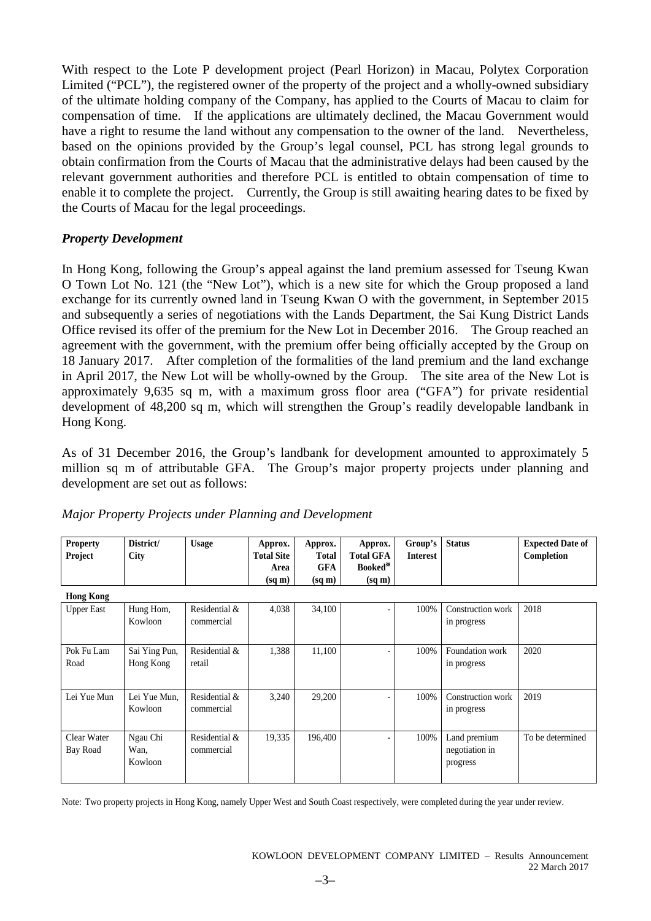With respect to the Lote P development project (Pearl Horizon) in Macau, Polytex Corporation Limited ("PCL"), the registered owner of the property of the project and a wholly-owned subsidiary of the ultimate holding company of the Company, has applied to the Courts of Macau to claim for compensation of time. If the applications are ultimately declined, the Macau Government would have a right to resume the land without any compensation to the owner of the land. Nevertheless, based on the opinions provided by the Group's legal counsel, PCL has strong legal grounds to obtain confirmation from the Courts of Macau that the administrative delays had been caused by the relevant government authorities and therefore PCL is entitled to obtain compensation of time to enable it to complete the project. Currently, the Group is still awaiting hearing dates to be fixed by the Courts of Macau for the legal proceedings.

# *Property Development*

In Hong Kong, following the Group's appeal against the land premium assessed for Tseung Kwan O Town Lot No. 121 (the "New Lot"), which is a new site for which the Group proposed a land exchange for its currently owned land in Tseung Kwan O with the government, in September 2015 and subsequently a series of negotiations with the Lands Department, the Sai Kung District Lands Office revised its offer of the premium for the New Lot in December 2016. The Group reached an agreement with the government, with the premium offer being officially accepted by the Group on 18 January 2017. After completion of the formalities of the land premium and the land exchange in April 2017, the New Lot will be wholly-owned by the Group. The site area of the New Lot is approximately 9,635 sq m, with a maximum gross floor area ("GFA") for private residential development of 48,200 sq m, which will strengthen the Group's readily developable landbank in Hong Kong.

As of 31 December 2016, the Group's landbank for development amounted to approximately 5 million sq m of attributable GFA. The Group's major property projects under planning and development are set out as follows:

| <b>Property</b><br>Project | District/<br>City | <b>Usage</b>  | Approx.<br><b>Total Site</b> | Approx.<br>Total   | Approx.<br><b>Total GFA</b> | Group's<br><b>Interest</b> | <b>Status</b>     | <b>Expected Date of</b><br>Completion |
|----------------------------|-------------------|---------------|------------------------------|--------------------|-----------------------------|----------------------------|-------------------|---------------------------------------|
|                            |                   |               | Area                         | <b>GFA</b>         | Booked*                     |                            |                   |                                       |
|                            |                   |               | $(sq \, \text{m})$           | $(sq \, \text{m})$ | $(sq \, \text{m})$          |                            |                   |                                       |
| <b>Hong Kong</b>           |                   |               |                              |                    |                             |                            |                   |                                       |
| <b>Upper East</b>          | Hung Hom,         | Residential & | 4,038                        | 34,100             |                             | 100%                       | Construction work | 2018                                  |
|                            | Kowloon           | commercial    |                              |                    |                             |                            | in progress       |                                       |
|                            |                   |               |                              |                    |                             |                            |                   |                                       |
| Pok Fu Lam                 | Sai Ying Pun,     | Residential & | 1,388                        | 11,100             |                             | 100%                       | Foundation work   | 2020                                  |
| Road                       | Hong Kong         | retail        |                              |                    |                             |                            | in progress       |                                       |
|                            |                   |               |                              |                    |                             |                            |                   |                                       |
| Lei Yue Mun                | Lei Yue Mun,      | Residential & | 3,240                        | 29,200             |                             | 100%                       | Construction work | 2019                                  |
|                            | Kowloon           | commercial    |                              |                    |                             |                            | in progress       |                                       |
|                            |                   |               |                              |                    |                             |                            |                   |                                       |
| Clear Water                | Ngau Chi          | Residential & | 19,335                       | 196,400            |                             | 100%                       | Land premium      | To be determined                      |
| Bay Road                   | Wan.              | commercial    |                              |                    |                             |                            | negotiation in    |                                       |
|                            | Kowloon           |               |                              |                    |                             |                            | progress          |                                       |
|                            |                   |               |                              |                    |                             |                            |                   |                                       |

# *Major Property Projects under Planning and Development*

Note: Two property projects in Hong Kong, namely Upper West and South Coast respectively, were completed during the year under review.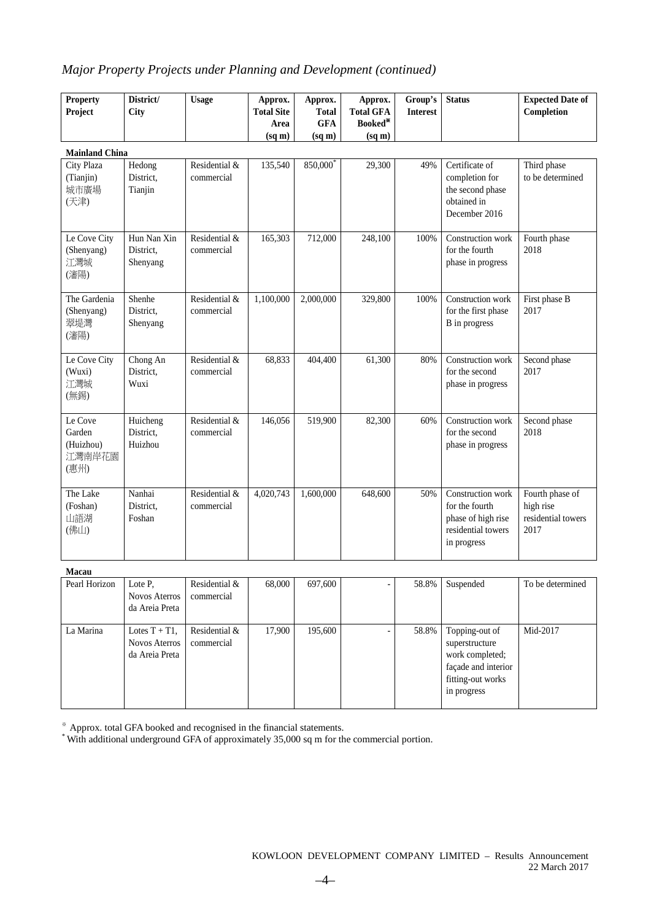# *Major Property Projects under Planning and Development (continued)*

| <b>Property</b><br>Project                       | District/<br>City                                          | <b>Usage</b>                | Approx.<br><b>Total Site</b><br>Area<br>(sq m) | Approx.<br><b>Total</b><br><b>GFA</b><br>$(sq \, \text{m})$ | Approx.<br><b>Total GFA</b><br>Booked*<br>(sq m) | Group's<br><b>Interest</b> | <b>Status</b>                                                                                                  | <b>Expected Date of</b><br>Completion                      |
|--------------------------------------------------|------------------------------------------------------------|-----------------------------|------------------------------------------------|-------------------------------------------------------------|--------------------------------------------------|----------------------------|----------------------------------------------------------------------------------------------------------------|------------------------------------------------------------|
| <b>Mainland China</b>                            |                                                            |                             |                                                |                                                             |                                                  |                            |                                                                                                                |                                                            |
| City Plaza<br>(Tianjin)<br>城市廣場<br>(天津)          | Hedong<br>District,<br>Tianjin                             | Residential &<br>commercial | 135,540                                        | 850,000                                                     | 29,300                                           | 49%                        | Certificate of<br>completion for<br>the second phase<br>obtained in<br>December 2016                           | Third phase<br>to be determined                            |
| Le Cove City<br>(Shenyang)<br>江灣城<br>(瀋陽)        | Hun Nan Xin<br>District,<br>Shenyang                       | Residential &<br>commercial | 165,303                                        | 712,000                                                     | 248,100                                          | 100%                       | Construction work<br>for the fourth<br>phase in progress                                                       | Fourth phase<br>2018                                       |
| The Gardenia<br>(Shenyang)<br>翠堤灣<br>(瀋陽)        | Shenhe<br>District,<br>Shenyang                            | Residential &<br>commercial | 1,100,000                                      | 2,000,000                                                   | 329,800                                          | 100%                       | Construction work<br>for the first phase<br>B in progress                                                      | First phase B<br>2017                                      |
| Le Cove City<br>(Wuxi)<br>江灣城<br>(無錫)            | Chong An<br>District,<br>Wuxi                              | Residential &<br>commercial | 68,833                                         | 404,400                                                     | 61,300                                           | 80%                        | Construction work<br>for the second<br>phase in progress                                                       | Second phase<br>2017                                       |
| Le Cove<br>Garden<br>(Huizhou)<br>江灣南岸花園<br>(惠州) | Huicheng<br>District.<br>Huizhou                           | Residential &<br>commercial | 146,056                                        | 519,900                                                     | 82,300                                           | 60%                        | Construction work<br>for the second<br>phase in progress                                                       | Second phase<br>2018                                       |
| The Lake<br>(Foshan)<br>山語湖<br>(佛山)              | Nanhai<br>District.<br>Foshan                              | Residential &<br>commercial | 4,020,743                                      | 1,600,000                                                   | 648,600                                          | 50%                        | Construction work<br>for the fourth<br>phase of high rise<br>residential towers<br>in progress                 | Fourth phase of<br>high rise<br>residential towers<br>2017 |
| Macau                                            |                                                            |                             |                                                |                                                             |                                                  |                            |                                                                                                                |                                                            |
| Pearl Horizon                                    | Lote P,<br><b>Novos Aterros</b><br>da Areia Preta          | Residential &<br>commercial | 68,000                                         | 697,600                                                     |                                                  | 58.8%                      | Suspended                                                                                                      | To be determined                                           |
| La Marina                                        | Lotes $T + T1$ ,<br><b>Novos Aterros</b><br>da Areia Preta | Residential &<br>commercial | 17,900                                         | 195,600                                                     |                                                  | 58.8%                      | Topping-out of<br>superstructure<br>work completed;<br>façade and interior<br>fitting-out works<br>in progress | Mid-2017                                                   |

※ Approx. total GFA booked and recognised in the financial statements.

\* With additional underground GFA of approximately 35,000 sq m for the commercial portion.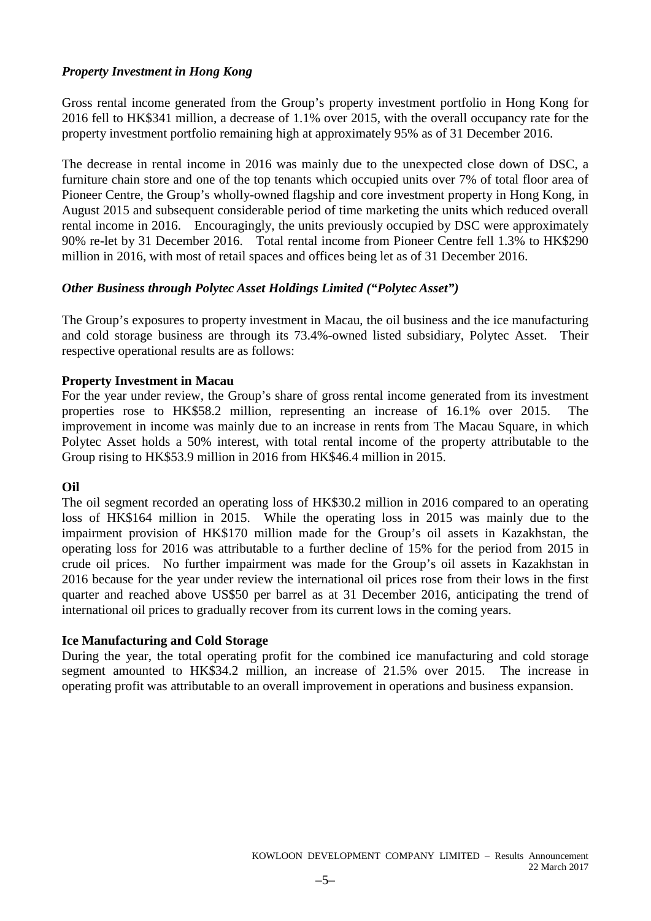# *Property Investment in Hong Kong*

Gross rental income generated from the Group's property investment portfolio in Hong Kong for 2016 fell to HK\$341 million, a decrease of 1.1% over 2015, with the overall occupancy rate for the property investment portfolio remaining high at approximately 95% as of 31 December 2016.

The decrease in rental income in 2016 was mainly due to the unexpected close down of DSC, a furniture chain store and one of the top tenants which occupied units over 7% of total floor area of Pioneer Centre, the Group's wholly-owned flagship and core investment property in Hong Kong, in August 2015 and subsequent considerable period of time marketing the units which reduced overall rental income in 2016. Encouragingly, the units previously occupied by DSC were approximately 90% re-let by 31 December 2016. Total rental income from Pioneer Centre fell 1.3% to HK\$290 million in 2016, with most of retail spaces and offices being let as of 31 December 2016.

# *Other Business through Polytec Asset Holdings Limited ("Polytec Asset")*

The Group's exposures to property investment in Macau, the oil business and the ice manufacturing and cold storage business are through its 73.4%-owned listed subsidiary, Polytec Asset. Their respective operational results are as follows:

# **Property Investment in Macau**

For the year under review, the Group's share of gross rental income generated from its investment properties rose to HK\$58.2 million, representing an increase of 16.1% over 2015. The improvement in income was mainly due to an increase in rents from The Macau Square, in which Polytec Asset holds a 50% interest, with total rental income of the property attributable to the Group rising to HK\$53.9 million in 2016 from HK\$46.4 million in 2015.

# **Oil**

The oil segment recorded an operating loss of HK\$30.2 million in 2016 compared to an operating loss of HK\$164 million in 2015. While the operating loss in 2015 was mainly due to the impairment provision of HK\$170 million made for the Group's oil assets in Kazakhstan, the operating loss for 2016 was attributable to a further decline of 15% for the period from 2015 in crude oil prices. No further impairment was made for the Group's oil assets in Kazakhstan in 2016 because for the year under review the international oil prices rose from their lows in the first quarter and reached above US\$50 per barrel as at 31 December 2016, anticipating the trend of international oil prices to gradually recover from its current lows in the coming years.

# **Ice Manufacturing and Cold Storage**

During the year, the total operating profit for the combined ice manufacturing and cold storage segment amounted to HK\$34.2 million, an increase of 21.5% over 2015. The increase in operating profit was attributable to an overall improvement in operations and business expansion.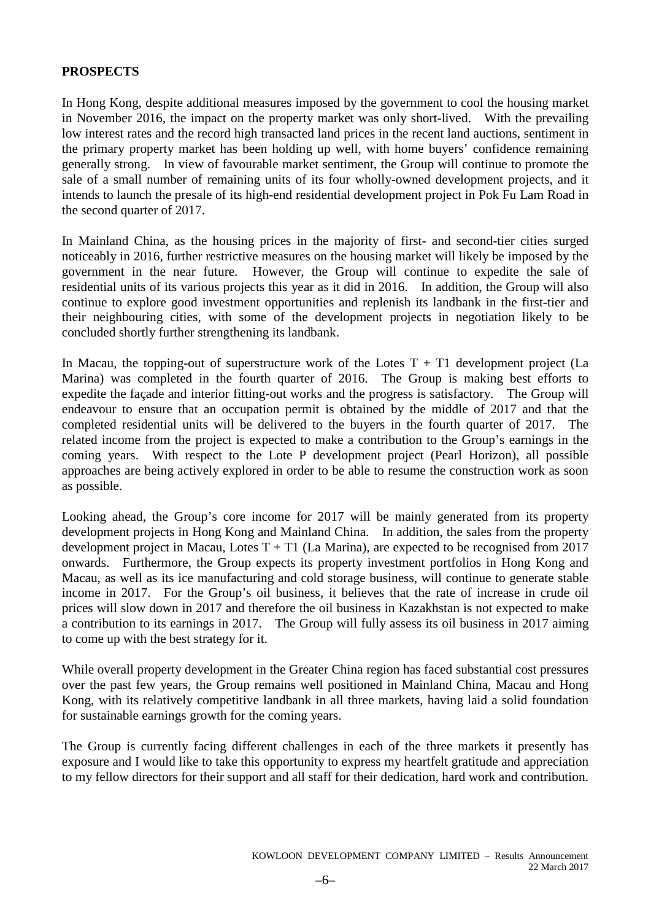# **PROSPECTS**

In Hong Kong, despite additional measures imposed by the government to cool the housing market in November 2016, the impact on the property market was only short-lived. With the prevailing low interest rates and the record high transacted land prices in the recent land auctions, sentiment in the primary property market has been holding up well, with home buyers' confidence remaining generally strong. In view of favourable market sentiment, the Group will continue to promote the sale of a small number of remaining units of its four wholly-owned development projects, and it intends to launch the presale of its high-end residential development project in Pok Fu Lam Road in the second quarter of 2017.

In Mainland China, as the housing prices in the majority of first- and second-tier cities surged noticeably in 2016, further restrictive measures on the housing market will likely be imposed by the government in the near future. However, the Group will continue to expedite the sale of residential units of its various projects this year as it did in 2016. In addition, the Group will also continue to explore good investment opportunities and replenish its landbank in the first-tier and their neighbouring cities, with some of the development projects in negotiation likely to be concluded shortly further strengthening its landbank.

In Macau, the topping-out of superstructure work of the Lotes  $T + T1$  development project (La Marina) was completed in the fourth quarter of 2016. The Group is making best efforts to expedite the façade and interior fitting-out works and the progress is satisfactory. The Group will endeavour to ensure that an occupation permit is obtained by the middle of 2017 and that the completed residential units will be delivered to the buyers in the fourth quarter of 2017. The related income from the project is expected to make a contribution to the Group's earnings in the coming years. With respect to the Lote P development project (Pearl Horizon), all possible approaches are being actively explored in order to be able to resume the construction work as soon as possible.

Looking ahead, the Group's core income for 2017 will be mainly generated from its property development projects in Hong Kong and Mainland China. In addition, the sales from the property development project in Macau, Lotes  $T + T1$  (La Marina), are expected to be recognised from 2017 onwards. Furthermore, the Group expects its property investment portfolios in Hong Kong and Macau, as well as its ice manufacturing and cold storage business, will continue to generate stable income in 2017. For the Group's oil business, it believes that the rate of increase in crude oil prices will slow down in 2017 and therefore the oil business in Kazakhstan is not expected to make a contribution to its earnings in 2017. The Group will fully assess its oil business in 2017 aiming to come up with the best strategy for it.

While overall property development in the Greater China region has faced substantial cost pressures over the past few years, the Group remains well positioned in Mainland China, Macau and Hong Kong, with its relatively competitive landbank in all three markets, having laid a solid foundation for sustainable earnings growth for the coming years.

The Group is currently facing different challenges in each of the three markets it presently has exposure and I would like to take this opportunity to express my heartfelt gratitude and appreciation to my fellow directors for their support and all staff for their dedication, hard work and contribution.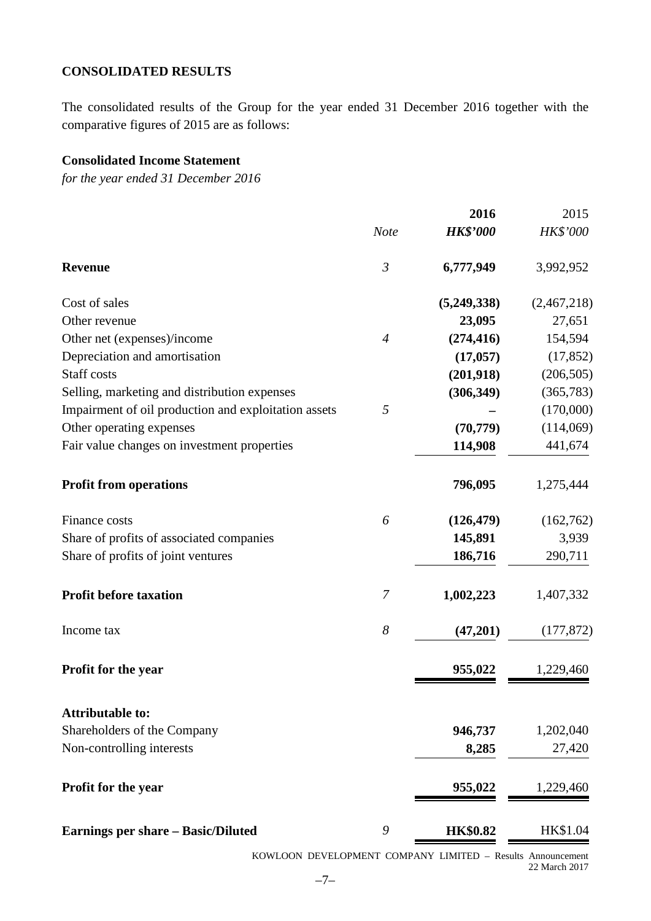# **CONSOLIDATED RESULTS**

The consolidated results of the Group for the year ended 31 December 2016 together with the comparative figures of 2015 are as follows:

# **Consolidated Income Statement**

*for the year ended 31 December 2016*

|                                                      |                  | 2016            | 2015        |
|------------------------------------------------------|------------------|-----------------|-------------|
|                                                      | <b>Note</b>      | <b>HK\$'000</b> | HK\$'000    |
| <b>Revenue</b>                                       | $\mathfrak{Z}$   | 6,777,949       | 3,992,952   |
| Cost of sales                                        |                  | (5,249,338)     | (2,467,218) |
| Other revenue                                        |                  | 23,095          | 27,651      |
| Other net (expenses)/income                          | $\overline{4}$   | (274, 416)      | 154,594     |
| Depreciation and amortisation                        |                  | (17, 057)       | (17, 852)   |
| Staff costs                                          |                  | (201, 918)      | (206, 505)  |
| Selling, marketing and distribution expenses         |                  | (306, 349)      | (365, 783)  |
| Impairment of oil production and exploitation assets | 5                |                 | (170,000)   |
| Other operating expenses                             |                  | (70, 779)       | (114,069)   |
| Fair value changes on investment properties          |                  | 114,908         | 441,674     |
| <b>Profit from operations</b>                        |                  | 796,095         | 1,275,444   |
| Finance costs                                        | 6                | (126, 479)      | (162,762)   |
| Share of profits of associated companies             |                  | 145,891         | 3,939       |
| Share of profits of joint ventures                   |                  | 186,716         | 290,711     |
| <b>Profit before taxation</b>                        | 7                | 1,002,223       | 1,407,332   |
| Income tax                                           | $\boldsymbol{8}$ | (47,201)        | (177, 872)  |
| Profit for the year                                  |                  | 955,022         | 1,229,460   |
| <b>Attributable to:</b>                              |                  |                 |             |
| Shareholders of the Company                          |                  | 946,737         | 1,202,040   |
| Non-controlling interests                            |                  | 8,285           | 27,420      |
| Profit for the year                                  |                  | 955,022         | 1,229,460   |
| <b>Earnings per share - Basic/Diluted</b>            | 9                | <b>HK\$0.82</b> | HK\$1.04    |

KOWLOON DEVELOPMENT COMPANY LIMITED – Results Announcement 22 March 2017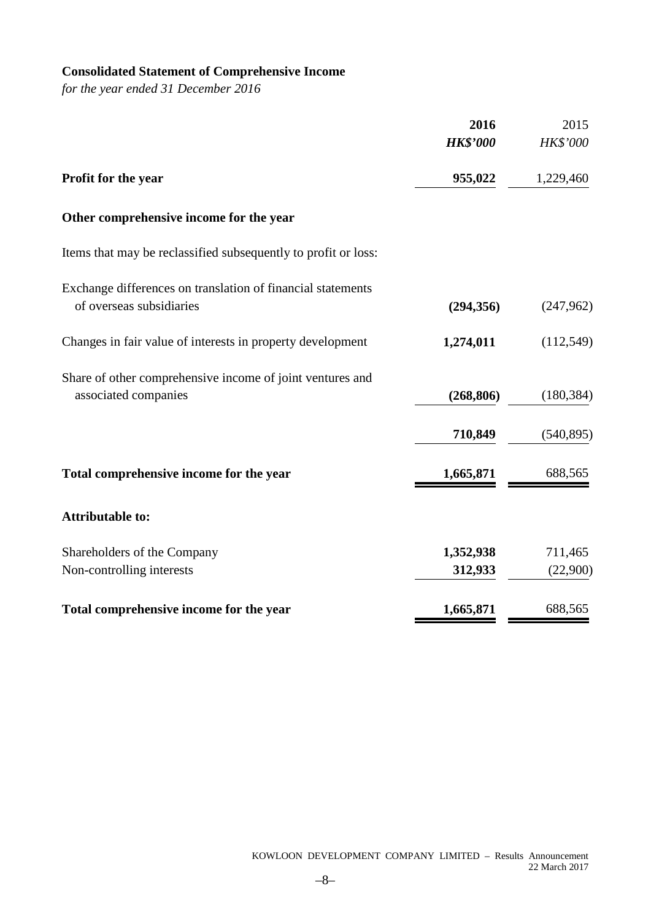# **Consolidated Statement of Comprehensive Income**

*for the year ended 31 December 2016*

|                                                                                         | 2016            | 2015       |
|-----------------------------------------------------------------------------------------|-----------------|------------|
|                                                                                         | <b>HK\$'000</b> | HK\$'000   |
| Profit for the year                                                                     | 955,022         | 1,229,460  |
| Other comprehensive income for the year                                                 |                 |            |
| Items that may be reclassified subsequently to profit or loss:                          |                 |            |
| Exchange differences on translation of financial statements<br>of overseas subsidiaries | (294, 356)      | (247,962)  |
| Changes in fair value of interests in property development                              | 1,274,011       | (112, 549) |
| Share of other comprehensive income of joint ventures and<br>associated companies       | (268, 806)      | (180, 384) |
|                                                                                         | 710,849         | (540, 895) |
| Total comprehensive income for the year                                                 | 1,665,871       | 688,565    |
| <b>Attributable to:</b>                                                                 |                 |            |
| Shareholders of the Company                                                             | 1,352,938       | 711,465    |
| Non-controlling interests                                                               | 312,933         | (22,900)   |
| Total comprehensive income for the year                                                 | 1,665,871       | 688,565    |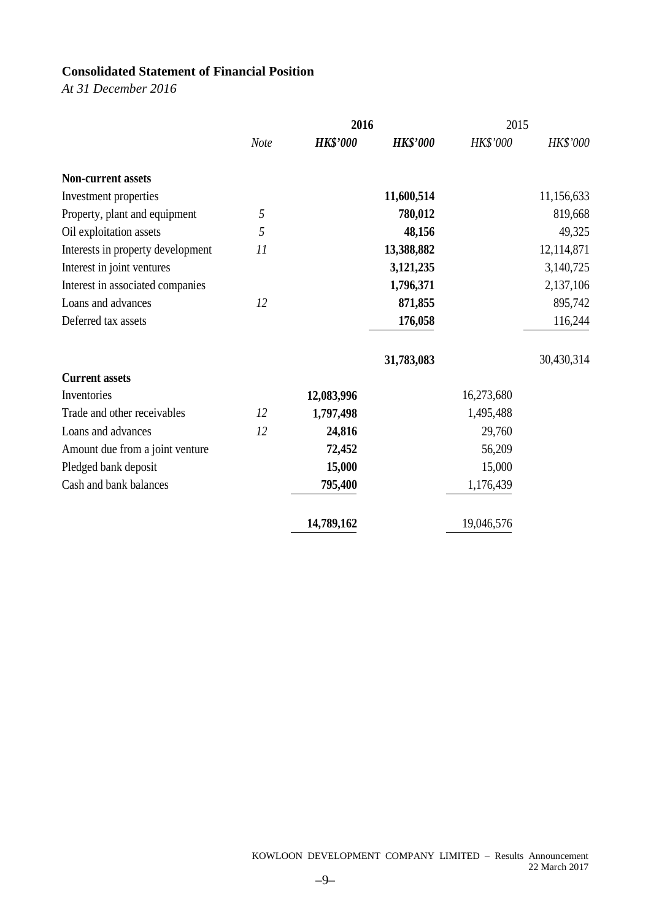# **Consolidated Statement of Financial Position**

*At 31 December 2016*

|                                   |      | 2016            |                 | 2015       |            |
|-----------------------------------|------|-----------------|-----------------|------------|------------|
|                                   | Note | <b>HK\$'000</b> | <b>HK\$'000</b> | HK\$'000   | HK\$'000   |
| <b>Non-current assets</b>         |      |                 |                 |            |            |
| Investment properties             |      |                 | 11,600,514      |            | 11,156,633 |
| Property, plant and equipment     | 5    |                 | 780,012         |            | 819,668    |
| Oil exploitation assets           | 5    |                 | 48,156          |            | 49,325     |
| Interests in property development | 11   |                 | 13,388,882      |            | 12,114,871 |
| Interest in joint ventures        |      |                 | 3,121,235       |            | 3,140,725  |
| Interest in associated companies  |      |                 | 1,796,371       |            | 2,137,106  |
| Loans and advances                | 12   |                 | 871,855         |            | 895,742    |
| Deferred tax assets               |      |                 | 176,058         |            | 116,244    |
|                                   |      |                 | 31,783,083      |            | 30,430,314 |
| <b>Current assets</b>             |      |                 |                 |            |            |
| Inventories                       |      | 12,083,996      |                 | 16,273,680 |            |
| Trade and other receivables       | 12   | 1,797,498       |                 | 1,495,488  |            |
| Loans and advances                | 12   | 24,816          |                 | 29,760     |            |
| Amount due from a joint venture   |      | 72,452          |                 | 56,209     |            |
| Pledged bank deposit              |      | 15,000          |                 | 15,000     |            |
| Cash and bank balances            |      | 795,400         |                 | 1,176,439  |            |
|                                   |      | 14,789,162      |                 | 19,046,576 |            |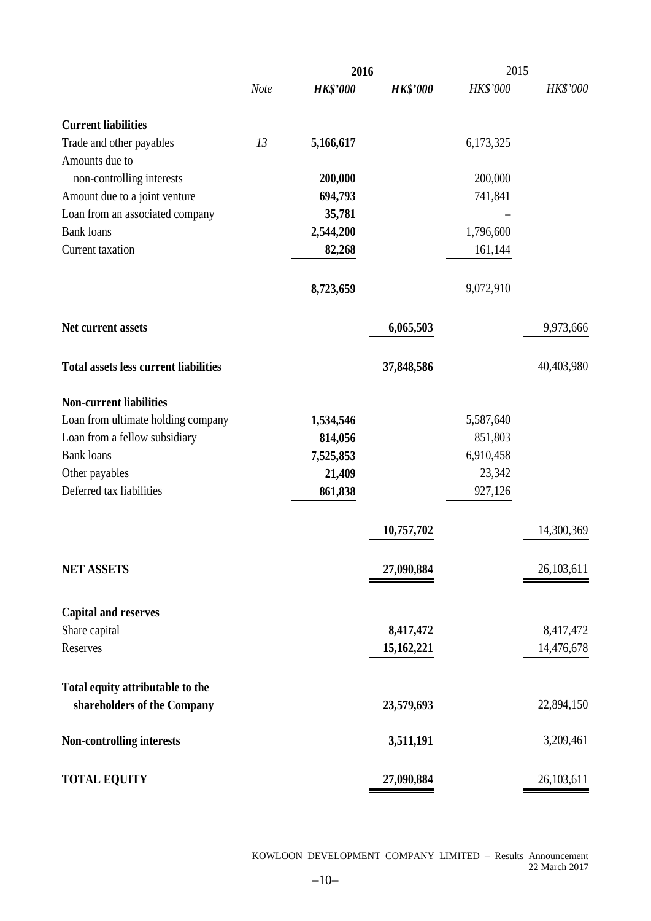|                                              |      | 2016            |                 | 2015      |              |  |
|----------------------------------------------|------|-----------------|-----------------|-----------|--------------|--|
|                                              | Note | <b>HK\$'000</b> | <b>HK\$'000</b> | HK\$'000  | HK\$'000     |  |
| <b>Current liabilities</b>                   |      |                 |                 |           |              |  |
| Trade and other payables                     | 13   | 5,166,617       |                 | 6,173,325 |              |  |
| Amounts due to                               |      |                 |                 |           |              |  |
| non-controlling interests                    |      | 200,000         |                 | 200,000   |              |  |
| Amount due to a joint venture                |      | 694,793         |                 | 741,841   |              |  |
| Loan from an associated company              |      | 35,781          |                 |           |              |  |
| <b>Bank loans</b>                            |      | 2,544,200       |                 | 1,796,600 |              |  |
| Current taxation                             |      | 82,268          |                 | 161,144   |              |  |
|                                              |      | 8,723,659       |                 | 9,072,910 |              |  |
| Net current assets                           |      |                 | 6,065,503       |           | 9,973,666    |  |
| <b>Total assets less current liabilities</b> |      |                 | 37,848,586      |           | 40,403,980   |  |
| <b>Non-current liabilities</b>               |      |                 |                 |           |              |  |
| Loan from ultimate holding company           |      | 1,534,546       |                 | 5,587,640 |              |  |
| Loan from a fellow subsidiary                |      | 814,056         |                 | 851,803   |              |  |
| <b>Bank</b> loans                            |      | 7,525,853       |                 | 6,910,458 |              |  |
| Other payables                               |      | 21,409          |                 | 23,342    |              |  |
| Deferred tax liabilities                     |      | 861,838         |                 | 927,126   |              |  |
|                                              |      |                 | 10,757,702      |           | 14,300,369   |  |
| <b>NET ASSETS</b>                            |      |                 | 27,090,884      |           | 26, 103, 611 |  |
| <b>Capital and reserves</b>                  |      |                 |                 |           |              |  |
| Share capital                                |      |                 | 8,417,472       |           | 8,417,472    |  |
| Reserves                                     |      |                 | 15,162,221      |           | 14,476,678   |  |
|                                              |      |                 |                 |           |              |  |
| Total equity attributable to the             |      |                 |                 |           |              |  |
| shareholders of the Company                  |      |                 | 23,579,693      |           | 22,894,150   |  |
| <b>Non-controlling interests</b>             |      |                 | 3,511,191       |           | 3,209,461    |  |
| <b>TOTAL EQUITY</b>                          |      |                 | 27,090,884      |           | 26,103,611   |  |

KOWLOON DEVELOPMENT COMPANY LIMITED – Results Announcement 22 March 2017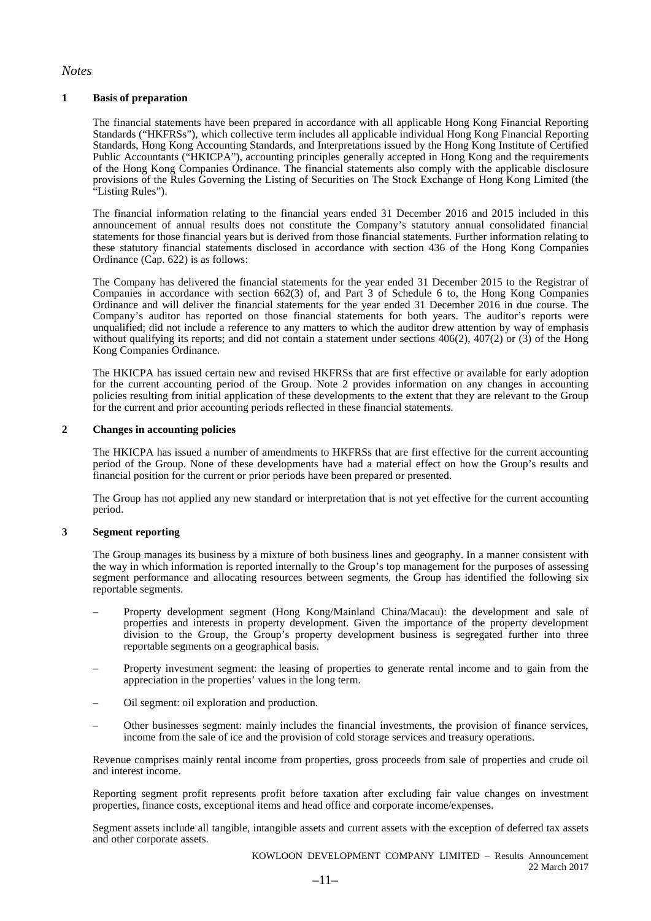#### *Notes*

#### **1 Basis of preparation**

The financial statements have been prepared in accordance with all applicable Hong Kong Financial Reporting Standards ("HKFRSs"), which collective term includes all applicable individual Hong Kong Financial Reporting Standards, Hong Kong Accounting Standards, and Interpretations issued by the Hong Kong Institute of Certified Public Accountants ("HKICPA"), accounting principles generally accepted in Hong Kong and the requirements of the Hong Kong Companies Ordinance. The financial statements also comply with the applicable disclosure provisions of the Rules Governing the Listing of Securities on The Stock Exchange of Hong Kong Limited (the "Listing Rules").

The financial information relating to the financial years ended 31 December 2016 and 2015 included in this announcement of annual results does not constitute the Company's statutory annual consolidated financial statements for those financial years but is derived from those financial statements. Further information relating to these statutory financial statements disclosed in accordance with section 436 of the Hong Kong Companies Ordinance (Cap. 622) is as follows:

The Company has delivered the financial statements for the year ended 31 December 2015 to the Registrar of Companies in accordance with section 662(3) of, and Part 3 of Schedule 6 to, the Hong Kong Companies Ordinance and will deliver the financial statements for the year ended 31 December 2016 in due course. The Company's auditor has reported on those financial statements for both years. The auditor's reports were unqualified; did not include a reference to any matters to which the auditor drew attention by way of emphasis without qualifying its reports; and did not contain a statement under sections 406(2), 407(2) or (3) of the Hong Kong Companies Ordinance.

The HKICPA has issued certain new and revised HKFRSs that are first effective or available for early adoption for the current accounting period of the Group. Note 2 provides information on any changes in accounting policies resulting from initial application of these developments to the extent that they are relevant to the Group for the current and prior accounting periods reflected in these financial statements.

#### **2 Changes in accounting policies**

The HKICPA has issued a number of amendments to HKFRSs that are first effective for the current accounting period of the Group. None of these developments have had a material effect on how the Group's results and financial position for the current or prior periods have been prepared or presented.

The Group has not applied any new standard or interpretation that is not yet effective for the current accounting period.

#### **3 Segment reporting**

The Group manages its business by a mixture of both business lines and geography. In a manner consistent with the way in which information is reported internally to the Group's top management for the purposes of assessing segment performance and allocating resources between segments, the Group has identified the following six reportable segments.

- Property development segment (Hong Kong/Mainland China/Macau): the development and sale of properties and interests in property development. Given the importance of the property development division to the Group, the Group's property development business is segregated further into three reportable segments on a geographical basis.
- Property investment segment: the leasing of properties to generate rental income and to gain from the appreciation in the properties' values in the long term.
- Oil segment: oil exploration and production.
- Other businesses segment: mainly includes the financial investments, the provision of finance services, income from the sale of ice and the provision of cold storage services and treasury operations.

Revenue comprises mainly rental income from properties, gross proceeds from sale of properties and crude oil and interest income.

Reporting segment profit represents profit before taxation after excluding fair value changes on investment properties, finance costs, exceptional items and head office and corporate income/expenses.

Segment assets include all tangible, intangible assets and current assets with the exception of deferred tax assets and other corporate assets.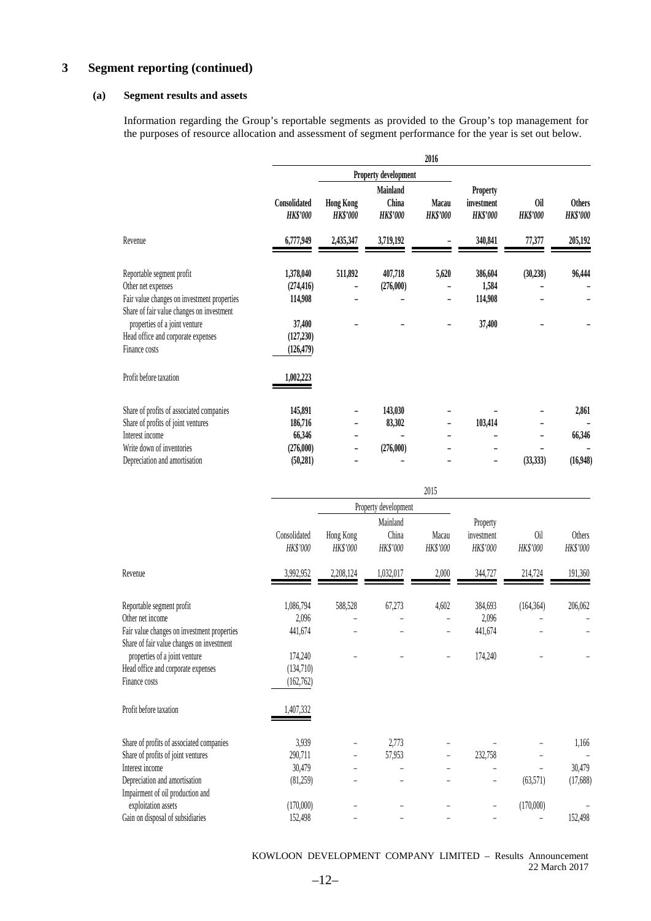# **3 Segment reporting (continued)**

#### **(a) Segment results and assets**

Information regarding the Group's reportable segments as provided to the Group's top management for the purposes of resource allocation and assessment of segment performance for the year is set out below.

|                                                                                                                                           |                                    |                                                    |                                             | 2016                         |                                           |                               |                                  |
|-------------------------------------------------------------------------------------------------------------------------------------------|------------------------------------|----------------------------------------------------|---------------------------------------------|------------------------------|-------------------------------------------|-------------------------------|----------------------------------|
|                                                                                                                                           |                                    |                                                    | Property development                        |                              |                                           |                               |                                  |
|                                                                                                                                           | Consolidated<br><b>HK\$'000</b>    | <b>Hong Kong</b><br><b>HK\$'000</b>                | <b>Mainland</b><br>China<br><b>HK\$'000</b> | Macau<br><b>HK\$'000</b>     | Property<br>investment<br><b>HK\$'000</b> | <b>Oil</b><br><b>HK\$'000</b> | <b>Others</b><br><b>HK\$'000</b> |
| Revenue                                                                                                                                   | 6,777,949                          | 2,435,347                                          | 3,719,192                                   |                              | 340,841                                   | 77,377                        | 205,192                          |
| Reportable segment profit<br>Other net expenses<br>Fair value changes on investment properties                                            | 1,378,040<br>(274, 416)<br>114,908 | 511,892<br>$\overline{a}$                          | 407,718<br>(276,000)                        | 5,620                        | 386,604<br>1,584<br>114,908               | (30, 238)                     | 96,444                           |
| Share of fair value changes on investment<br>properties of a joint venture<br>Head office and corporate expenses<br>Finance costs         | 37,400<br>(127, 230)<br>(126, 479) |                                                    |                                             |                              | 37,400                                    |                               |                                  |
| Profit before taxation                                                                                                                    | 1,002,223                          |                                                    |                                             |                              |                                           |                               |                                  |
| Share of profits of associated companies<br>Share of profits of joint ventures<br>Interest income                                         | 145,891<br>186,716<br>66,346       | $\overline{a}$<br>$\overline{a}$<br>$\overline{a}$ | 143,030<br>83,302                           | $\overline{a}$               | 103,414                                   |                               | 2,861<br>66,346                  |
| Write down of inventories<br>Depreciation and amortisation                                                                                | (276,000)<br>(50, 281)             | $\overline{a}$                                     | (276,000)                                   |                              | L                                         | (33, 333)                     | (16,948)                         |
|                                                                                                                                           |                                    |                                                    |                                             | 2015                         |                                           |                               |                                  |
|                                                                                                                                           |                                    |                                                    | Property development                        |                              |                                           |                               |                                  |
|                                                                                                                                           | Consolidated<br>HK\$'000           | Hong Kong<br>HK\$'000                              | Mainland<br>China<br>HK\$'000               | Macau<br>HK\$'000            | Property<br>investment<br>HK\$'000        | 0il<br>HK\$'000               | Others<br>HK\$'000               |
| Revenue                                                                                                                                   | 3,992,952                          | 2,208,124                                          | 1,032,017                                   | 2,000                        | 344,727                                   | 214,724                       | 191,360                          |
| Reportable segment profit<br>Other net income<br>Fair value changes on investment properties<br>Share of fair value changes on investment | 1,086,794<br>2,096<br>441,674      | 588,528<br>$\overline{a}$<br>$\overline{a}$        | 67,273                                      | 4,602<br>$\overline{a}$<br>÷ | 384,693<br>2,096<br>441,674               | (164, 364)                    | 206,062                          |
| properties of a joint venture<br>Head office and corporate expenses<br>Finance costs                                                      | 174,240<br>(134,710)<br>(162, 762) |                                                    |                                             |                              | 174,240                                   |                               |                                  |

| Share of profits of associated companies | 3.939     |   | 2.773  |   |         |           | 1,166    |
|------------------------------------------|-----------|---|--------|---|---------|-----------|----------|
| Share of profits of joint ventures       | 290.711   | - | 57.953 | - | 232,758 |           |          |
| Interest income                          | 30,479    |   |        |   |         |           | 30,479   |
| Depreciation and amortisation            | (81,259)  |   |        |   |         | (63.571)  | (17,688) |
| Impairment of oil production and         |           |   |        |   |         |           |          |
| exploitation assets                      | (170,000) |   |        |   |         | (170,000) |          |
| Gain on disposal of subsidiaries         | 152,498   |   |        |   |         |           | 152,498  |

KOWLOON DEVELOPMENT COMPANY LIMITED – Results Announcement 22 March 2017

Profit before taxation 1,407,332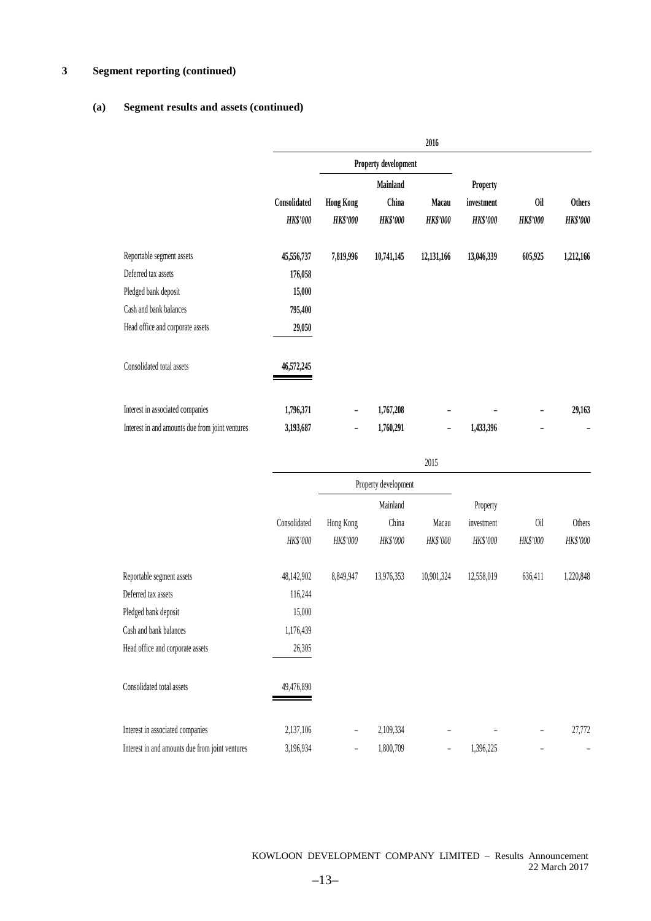# **3 Segment reporting (continued)**

# **(a) Segment results and assets (continued)**

|                                                 |                 |                  |                      | 2016                     |                 |                 |                 |
|-------------------------------------------------|-----------------|------------------|----------------------|--------------------------|-----------------|-----------------|-----------------|
|                                                 |                 |                  | Property development |                          |                 |                 |                 |
|                                                 |                 |                  | <b>Mainland</b>      |                          | <b>Property</b> |                 |                 |
|                                                 | Consolidated    | <b>Hong Kong</b> | China                | Macau                    | investment      | 0il             | <b>Others</b>   |
|                                                 | <b>HK\$'000</b> | <b>HK\$'000</b>  | <b>HK\$'000</b>      | <b>HK\$'000</b>          | <b>HK\$'000</b> | <b>HK\$'000</b> | <b>HK\$'000</b> |
| Reportable segment assets                       | 45,556,737      | 7,819,996        | 10,741,145           | 12,131,166               | 13,046,339      | 605,925         | 1,212,166       |
| Deferred tax assets                             | 176,058         |                  |                      |                          |                 |                 |                 |
| Pledged bank deposit                            | 15,000          |                  |                      |                          |                 |                 |                 |
| Cash and bank balances                          | 795,400         |                  |                      |                          |                 |                 |                 |
| Head office and corporate assets                | 29,050          |                  |                      |                          |                 |                 |                 |
| Consolidated total assets                       | 46,572,245      |                  |                      |                          |                 |                 |                 |
| Interest in associated companies                | 1,796,371       |                  | 1,767,208            |                          |                 |                 | 29,163          |
| Interest in and amounts due from joint ventures | 3,193,687       |                  | 1,760,291            | $\overline{\phantom{a}}$ | 1,433,396       |                 |                 |

|                                                 |              |                |                      | 2015           |            |          |           |
|-------------------------------------------------|--------------|----------------|----------------------|----------------|------------|----------|-----------|
|                                                 |              |                | Property development |                |            |          |           |
|                                                 |              |                | Mainland             |                | Property   |          |           |
|                                                 | Consolidated | Hong Kong      | China                | Macau          | investment | 0il      | Others    |
|                                                 | HK\$'000     | HK\$'000       | HK\$'000             | HK\$'000       | HK\$'000   | HK\$'000 | HK\$'000  |
| Reportable segment assets                       | 48,142,902   | 8,849,947      | 13,976,353           | 10,901,324     | 12,558,019 | 636,411  | 1,220,848 |
| Deferred tax assets                             | 116,244      |                |                      |                |            |          |           |
| Pledged bank deposit                            | 15,000       |                |                      |                |            |          |           |
| Cash and bank balances                          | 1,176,439    |                |                      |                |            |          |           |
| Head office and corporate assets                | 26,305       |                |                      |                |            |          |           |
| Consolidated total assets                       | 49,476,890   |                |                      |                |            |          |           |
| Interest in associated companies                | 2,137,106    | $\overline{a}$ | 2,109,334            |                |            |          | 27,772    |
| Interest in and amounts due from joint ventures | 3,196,934    | $\overline{a}$ | 1,800,709            | $\overline{a}$ | 1,396,225  |          | -         |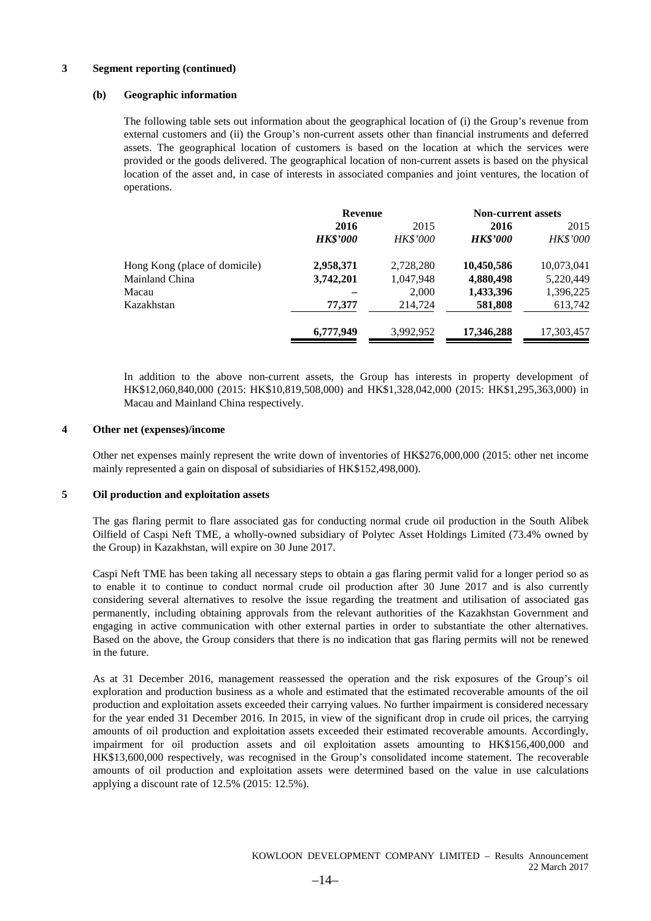#### **3 Segment reporting (continued)**

#### **(b) Geographic information**

The following table sets out information about the geographical location of (i) the Group's revenue from external customers and (ii) the Group's non-current assets other than financial instruments and deferred assets. The geographical location of customers is based on the location at which the services were provided or the goods delivered. The geographical location of non-current assets is based on the physical location of the asset and, in case of interests in associated companies and joint ventures, the location of operations.

|                               | <b>Revenue</b>  |                 | <b>Non-current assets</b> |            |  |
|-------------------------------|-----------------|-----------------|---------------------------|------------|--|
|                               | 2016            | 2015            | 2016                      | 2015       |  |
|                               | <b>HK\$'000</b> | <b>HK\$'000</b> | <b>HK\$'000</b>           | HK\$'000   |  |
| Hong Kong (place of domicile) | 2,958,371       | 2,728,280       | 10,450,586                | 10,073,041 |  |
| Mainland China                | 3,742,201       | 1,047,948       | 4,880,498                 | 5,220,449  |  |
| Macau                         |                 | 2,000           | 1,433,396                 | 1,396,225  |  |
| Kazakhstan                    | 77,377          | 214,724         | 581,808                   | 613,742    |  |
|                               | 6,777,949       | 3,992,952       | 17,346,288                | 17,303,457 |  |

In addition to the above non-current assets, the Group has interests in property development of HK\$12,060,840,000 (2015: HK\$10,819,508,000) and HK\$1,328,042,000 (2015: HK\$1,295,363,000) in Macau and Mainland China respectively.

#### **4 Other net (expenses)/income**

Other net expenses mainly represent the write down of inventories of HK\$276,000,000 (2015: other net income mainly represented a gain on disposal of subsidiaries of HK\$152,498,000).

#### **5 Oil production and exploitation assets**

The gas flaring permit to flare associated gas for conducting normal crude oil production in the South Alibek Oilfield of Caspi Neft TME, a wholly-owned subsidiary of Polytec Asset Holdings Limited (73.4% owned by the Group) in Kazakhstan, will expire on 30 June 2017.

Caspi Neft TME has been taking all necessary steps to obtain a gas flaring permit valid for a longer period so as to enable it to continue to conduct normal crude oil production after 30 June 2017 and is also currently considering several alternatives to resolve the issue regarding the treatment and utilisation of associated gas permanently, including obtaining approvals from the relevant authorities of the Kazakhstan Government and engaging in active communication with other external parties in order to substantiate the other alternatives. Based on the above, the Group considers that there is no indication that gas flaring permits will not be renewed in the future.

As at 31 December 2016, management reassessed the operation and the risk exposures of the Group's oil exploration and production business as a whole and estimated that the estimated recoverable amounts of the oil production and exploitation assets exceeded their carrying values. No further impairment is considered necessary for the year ended 31 December 2016. In 2015, in view of the significant drop in crude oil prices, the carrying amounts of oil production and exploitation assets exceeded their estimated recoverable amounts. Accordingly, impairment for oil production assets and oil exploitation assets amounting to HK\$156,400,000 and HK\$13,600,000 respectively, was recognised in the Group's consolidated income statement. The recoverable amounts of oil production and exploitation assets were determined based on the value in use calculations applying a discount rate of 12.5% (2015: 12.5%).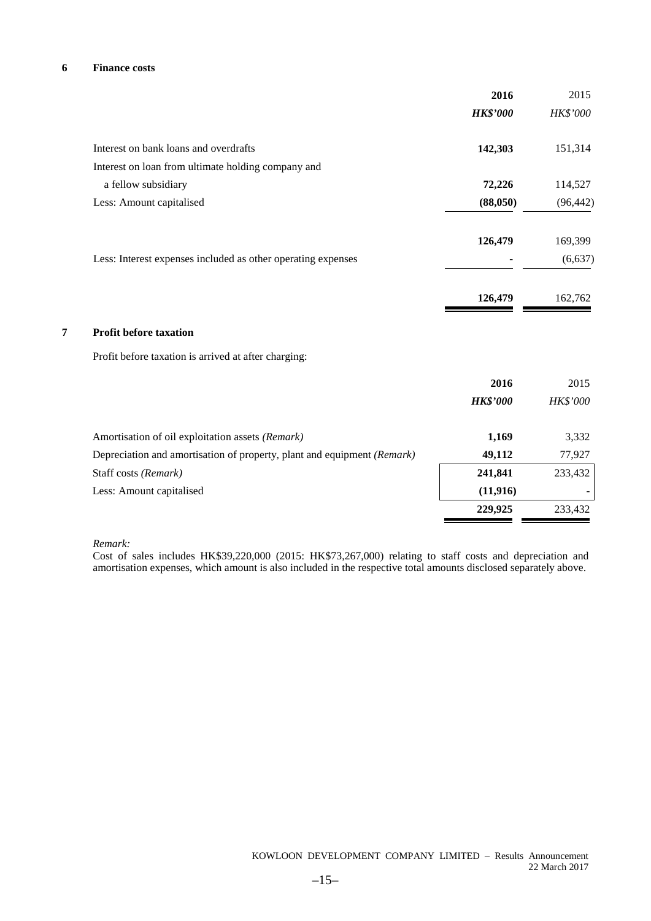#### **6 Finance costs**

|                                                                         | 2016            | 2015      |
|-------------------------------------------------------------------------|-----------------|-----------|
|                                                                         | <b>HK\$'000</b> | HK\$'000  |
| Interest on bank loans and overdrafts                                   | 142,303         | 151,314   |
| Interest on loan from ultimate holding company and                      |                 |           |
| a fellow subsidiary                                                     | 72,226          | 114,527   |
| Less: Amount capitalised                                                | (88,050)        | (96, 442) |
|                                                                         | 126,479         | 169,399   |
| Less: Interest expenses included as other operating expenses            |                 | (6, 637)  |
|                                                                         | 126,479         | 162,762   |
| <b>Profit before taxation</b>                                           |                 |           |
| Profit before taxation is arrived at after charging:                    |                 |           |
|                                                                         | 2016            | 2015      |
|                                                                         | <b>HK\$'000</b> | HK\$'000  |
| Amortisation of oil exploitation assets (Remark)                        | 1,169           | 3,332     |
| Depreciation and amortisation of property, plant and equipment (Remark) | 49,112          | 77,927    |
| Staff costs (Remark)                                                    | 241,841         | 233,432   |
| Less: Amount capitalised                                                | (11, 916)       |           |
|                                                                         | 229,925         | 233,432   |

*Remark:*

Cost of sales includes HK\$39,220,000 (2015: HK\$73,267,000) relating to staff costs and depreciation and amortisation expenses, which amount is also included in the respective total amounts disclosed separately above.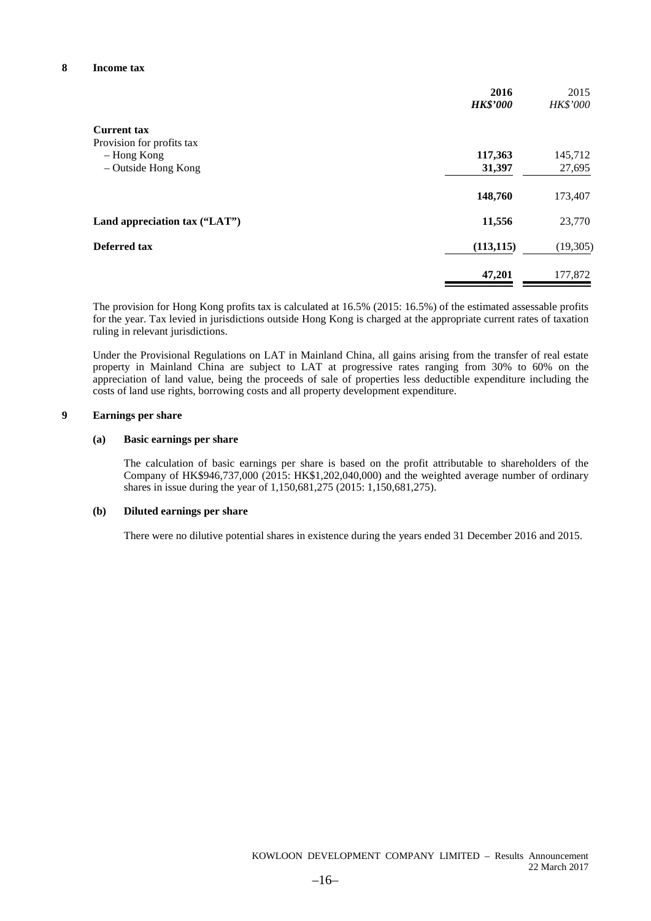|                               | 2016<br><b>HK\$'000</b> | 2015<br>HK\$'000 |
|-------------------------------|-------------------------|------------------|
| <b>Current tax</b>            |                         |                  |
| Provision for profits tax     |                         |                  |
| - Hong Kong                   | 117,363                 | 145,712          |
| - Outside Hong Kong           | 31,397                  | 27,695           |
|                               | 148,760                 | 173,407          |
| Land appreciation tax ("LAT") | 11,556                  | 23,770           |
| Deferred tax                  | (113, 115)              | (19,305)         |
|                               | 47,201                  | 177,872          |

The provision for Hong Kong profits tax is calculated at 16.5% (2015: 16.5%) of the estimated assessable profits for the year. Tax levied in jurisdictions outside Hong Kong is charged at the appropriate current rates of taxation ruling in relevant jurisdictions.

Under the Provisional Regulations on LAT in Mainland China, all gains arising from the transfer of real estate property in Mainland China are subject to LAT at progressive rates ranging from 30% to 60% on the appreciation of land value, being the proceeds of sale of properties less deductible expenditure including the costs of land use rights, borrowing costs and all property development expenditure.

#### **9 Earnings per share**

#### **(a) Basic earnings per share**

The calculation of basic earnings per share is based on the profit attributable to shareholders of the Company of HK\$946,737,000 (2015: HK\$1,202,040,000) and the weighted average number of ordinary shares in issue during the year of 1,150,681,275 (2015: 1,150,681,275).

#### **(b) Diluted earnings per share**

There were no dilutive potential shares in existence during the years ended 31 December 2016 and 2015.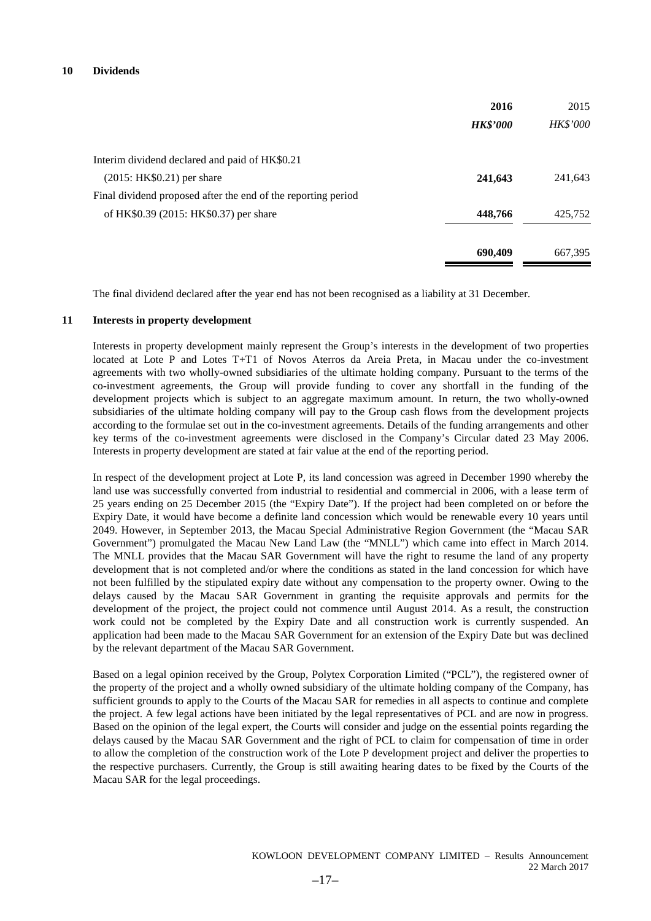| 2016                                                          | 2015            |
|---------------------------------------------------------------|-----------------|
| <b>HK\$'000</b>                                               | <b>HK\$'000</b> |
| Interim dividend declared and paid of HK\$0.21                |                 |
| $(2015: HK$0.21)$ per share<br>241,643                        | 241,643         |
| Final dividend proposed after the end of the reporting period |                 |
| of HK\$0.39 (2015: HK\$0.37) per share<br>448,766             | 425,752         |
| 690,409                                                       | 667,395         |

The final dividend declared after the year end has not been recognised as a liability at 31 December.

#### **11 Interests in property development**

Interests in property development mainly represent the Group's interests in the development of two properties located at Lote P and Lotes T+T1 of Novos Aterros da Areia Preta, in Macau under the co-investment agreements with two wholly-owned subsidiaries of the ultimate holding company. Pursuant to the terms of the co-investment agreements, the Group will provide funding to cover any shortfall in the funding of the development projects which is subject to an aggregate maximum amount. In return, the two wholly-owned subsidiaries of the ultimate holding company will pay to the Group cash flows from the development projects according to the formulae set out in the co-investment agreements. Details of the funding arrangements and other key terms of the co-investment agreements were disclosed in the Company's Circular dated 23 May 2006. Interests in property development are stated at fair value at the end of the reporting period.

In respect of the development project at Lote P, its land concession was agreed in December 1990 whereby the land use was successfully converted from industrial to residential and commercial in 2006, with a lease term of 25 years ending on 25 December 2015 (the "Expiry Date"). If the project had been completed on or before the Expiry Date, it would have become a definite land concession which would be renewable every 10 years until 2049. However, in September 2013, the Macau Special Administrative Region Government (the "Macau SAR Government") promulgated the Macau New Land Law (the "MNLL") which came into effect in March 2014. The MNLL provides that the Macau SAR Government will have the right to resume the land of any property development that is not completed and/or where the conditions as stated in the land concession for which have not been fulfilled by the stipulated expiry date without any compensation to the property owner. Owing to the delays caused by the Macau SAR Government in granting the requisite approvals and permits for the development of the project, the project could not commence until August 2014. As a result, the construction work could not be completed by the Expiry Date and all construction work is currently suspended. An application had been made to the Macau SAR Government for an extension of the Expiry Date but was declined by the relevant department of the Macau SAR Government.

Based on a legal opinion received by the Group, Polytex Corporation Limited ("PCL"), the registered owner of the property of the project and a wholly owned subsidiary of the ultimate holding company of the Company, has sufficient grounds to apply to the Courts of the Macau SAR for remedies in all aspects to continue and complete the project. A few legal actions have been initiated by the legal representatives of PCL and are now in progress. Based on the opinion of the legal expert, the Courts will consider and judge on the essential points regarding the delays caused by the Macau SAR Government and the right of PCL to claim for compensation of time in order to allow the completion of the construction work of the Lote P development project and deliver the properties to the respective purchasers. Currently, the Group is still awaiting hearing dates to be fixed by the Courts of the Macau SAR for the legal proceedings.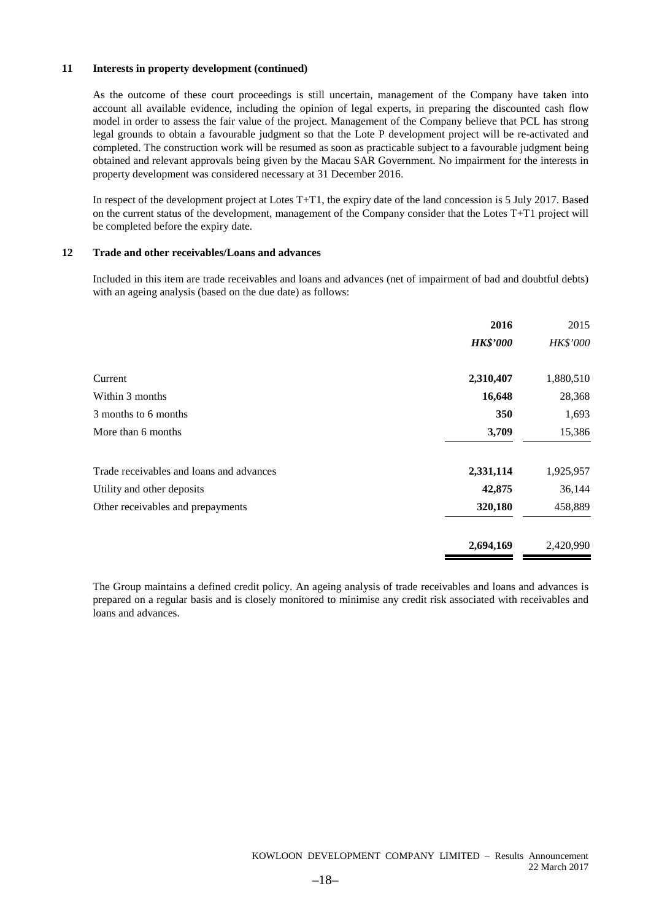#### **11 Interests in property development (continued)**

As the outcome of these court proceedings is still uncertain, management of the Company have taken into account all available evidence, including the opinion of legal experts, in preparing the discounted cash flow model in order to assess the fair value of the project. Management of the Company believe that PCL has strong legal grounds to obtain a favourable judgment so that the Lote P development project will be re-activated and completed. The construction work will be resumed as soon as practicable subject to a favourable judgment being obtained and relevant approvals being given by the Macau SAR Government. No impairment for the interests in property development was considered necessary at 31 December 2016.

In respect of the development project at Lotes T+T1, the expiry date of the land concession is 5 July 2017. Based on the current status of the development, management of the Company consider that the Lotes T+T1 project will be completed before the expiry date.

#### **12 Trade and other receivables/Loans and advances**

Included in this item are trade receivables and loans and advances (net of impairment of bad and doubtful debts) with an ageing analysis (based on the due date) as follows:

|                                          | 2016            | 2015      |
|------------------------------------------|-----------------|-----------|
|                                          | <b>HK\$'000</b> | HK\$'000  |
| Current                                  | 2,310,407       | 1,880,510 |
| Within 3 months                          | 16,648          | 28,368    |
| 3 months to 6 months                     | 350             | 1,693     |
| More than 6 months                       | 3,709           | 15,386    |
| Trade receivables and loans and advances | 2,331,114       | 1,925,957 |
| Utility and other deposits               | 42,875          | 36,144    |
| Other receivables and prepayments        | 320,180         | 458,889   |
|                                          | 2,694,169       | 2,420,990 |

The Group maintains a defined credit policy. An ageing analysis of trade receivables and loans and advances is prepared on a regular basis and is closely monitored to minimise any credit risk associated with receivables and loans and advances.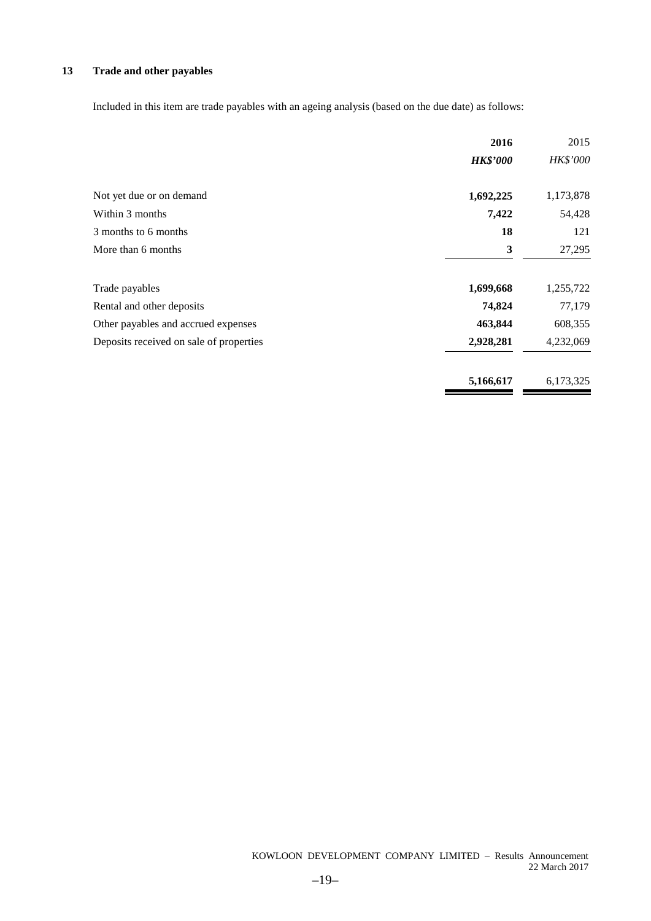### **13 Trade and other payables**

Included in this item are trade payables with an ageing analysis (based on the due date) as follows:

|                                         | 2016            | 2015      |
|-----------------------------------------|-----------------|-----------|
|                                         | <b>HK\$'000</b> | HK\$'000  |
| Not yet due or on demand                | 1,692,225       | 1,173,878 |
| Within 3 months                         | 7,422           | 54,428    |
| 3 months to 6 months                    | 18              | 121       |
| More than 6 months                      | 3               | 27,295    |
| Trade payables                          | 1,699,668       | 1,255,722 |
| Rental and other deposits               | 74,824          | 77,179    |
| Other payables and accrued expenses     | 463,844         | 608,355   |
| Deposits received on sale of properties | 2,928,281       | 4,232,069 |
|                                         | 5,166,617       | 6,173,325 |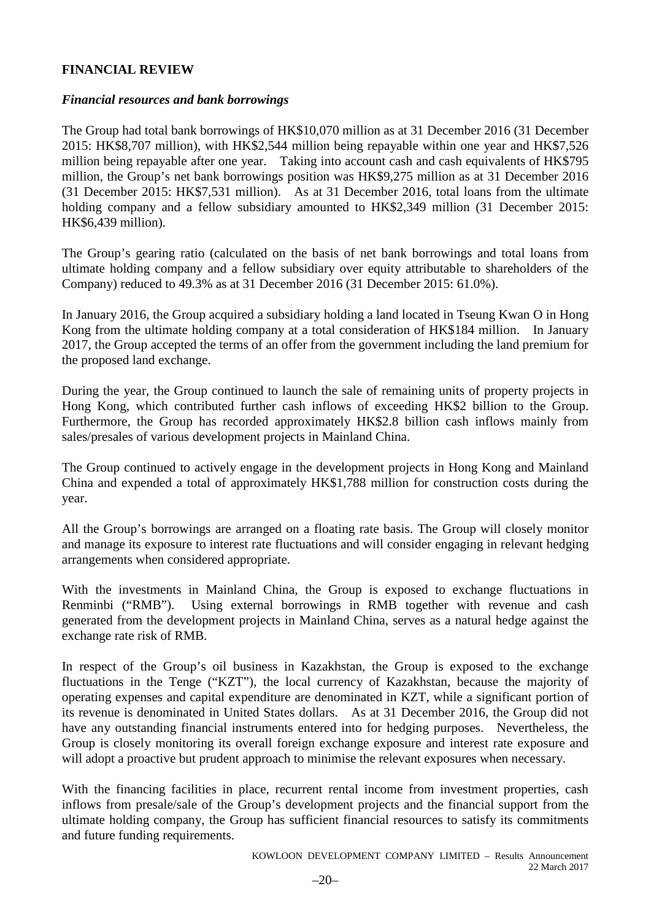# **FINANCIAL REVIEW**

# *Financial resources and bank borrowings*

The Group had total bank borrowings of HK\$10,070 million as at 31 December 2016 (31 December 2015: HK\$8,707 million), with HK\$2,544 million being repayable within one year and HK\$7,526 million being repayable after one year. Taking into account cash and cash equivalents of HK\$795 million, the Group's net bank borrowings position was HK\$9,275 million as at 31 December 2016 (31 December 2015: HK\$7,531 million). As at 31 December 2016, total loans from the ultimate holding company and a fellow subsidiary amounted to HK\$2,349 million (31 December 2015: HK\$6,439 million).

The Group's gearing ratio (calculated on the basis of net bank borrowings and total loans from ultimate holding company and a fellow subsidiary over equity attributable to shareholders of the Company) reduced to 49.3% as at 31 December 2016 (31 December 2015: 61.0%).

In January 2016, the Group acquired a subsidiary holding a land located in Tseung Kwan O in Hong Kong from the ultimate holding company at a total consideration of HK\$184 million. In January 2017, the Group accepted the terms of an offer from the government including the land premium for the proposed land exchange.

During the year, the Group continued to launch the sale of remaining units of property projects in Hong Kong, which contributed further cash inflows of exceeding HK\$2 billion to the Group. Furthermore, the Group has recorded approximately HK\$2.8 billion cash inflows mainly from sales/presales of various development projects in Mainland China.

The Group continued to actively engage in the development projects in Hong Kong and Mainland China and expended a total of approximately HK\$1,788 million for construction costs during the year.

All the Group's borrowings are arranged on a floating rate basis. The Group will closely monitor and manage its exposure to interest rate fluctuations and will consider engaging in relevant hedging arrangements when considered appropriate.

With the investments in Mainland China, the Group is exposed to exchange fluctuations in Renminbi ("RMB"). Using external borrowings in RMB together with revenue and cash generated from the development projects in Mainland China, serves as a natural hedge against the exchange rate risk of RMB.

In respect of the Group's oil business in Kazakhstan, the Group is exposed to the exchange fluctuations in the Tenge ("KZT"), the local currency of Kazakhstan, because the majority of operating expenses and capital expenditure are denominated in KZT, while a significant portion of its revenue is denominated in United States dollars. As at 31 December 2016, the Group did not have any outstanding financial instruments entered into for hedging purposes. Nevertheless, the Group is closely monitoring its overall foreign exchange exposure and interest rate exposure and will adopt a proactive but prudent approach to minimise the relevant exposures when necessary.

With the financing facilities in place, recurrent rental income from investment properties, cash inflows from presale/sale of the Group's development projects and the financial support from the ultimate holding company, the Group has sufficient financial resources to satisfy its commitments and future funding requirements.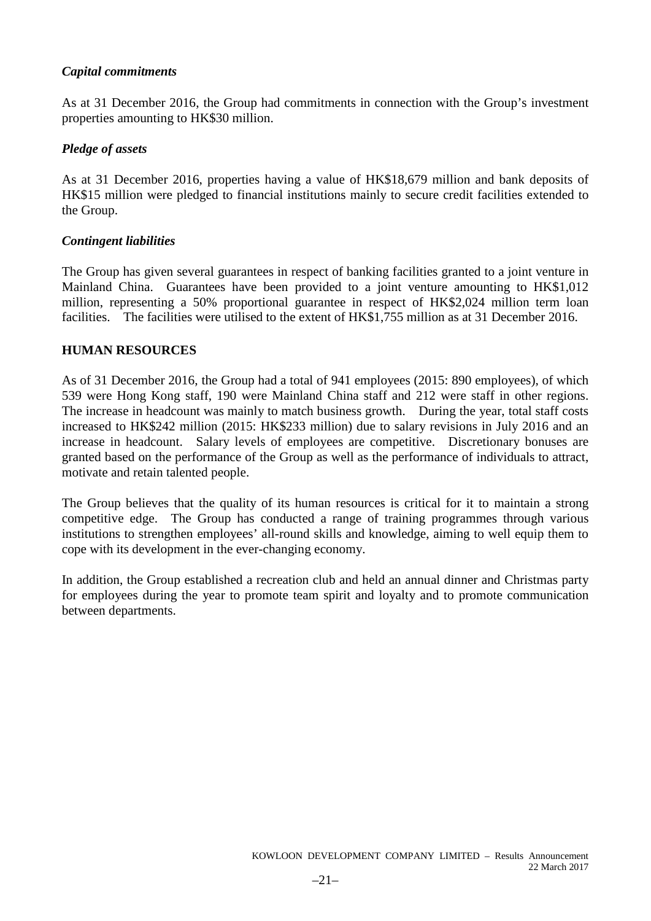# *Capital commitments*

As at 31 December 2016, the Group had commitments in connection with the Group's investment properties amounting to HK\$30 million.

# *Pledge of assets*

As at 31 December 2016, properties having a value of HK\$18,679 million and bank deposits of HK\$15 million were pledged to financial institutions mainly to secure credit facilities extended to the Group.

# *Contingent liabilities*

The Group has given several guarantees in respect of banking facilities granted to a joint venture in Mainland China. Guarantees have been provided to a joint venture amounting to HK\$1,012 million, representing a 50% proportional guarantee in respect of HK\$2,024 million term loan facilities. The facilities were utilised to the extent of HK\$1,755 million as at 31 December 2016.

# **HUMAN RESOURCES**

As of 31 December 2016, the Group had a total of 941 employees (2015: 890 employees), of which 539 were Hong Kong staff, 190 were Mainland China staff and 212 were staff in other regions. The increase in headcount was mainly to match business growth. During the year, total staff costs increased to HK\$242 million (2015: HK\$233 million) due to salary revisions in July 2016 and an increase in headcount. Salary levels of employees are competitive. Discretionary bonuses are granted based on the performance of the Group as well as the performance of individuals to attract, motivate and retain talented people.

The Group believes that the quality of its human resources is critical for it to maintain a strong competitive edge. The Group has conducted a range of training programmes through various institutions to strengthen employees' all-round skills and knowledge, aiming to well equip them to cope with its development in the ever-changing economy.

In addition, the Group established a recreation club and held an annual dinner and Christmas party for employees during the year to promote team spirit and loyalty and to promote communication between departments.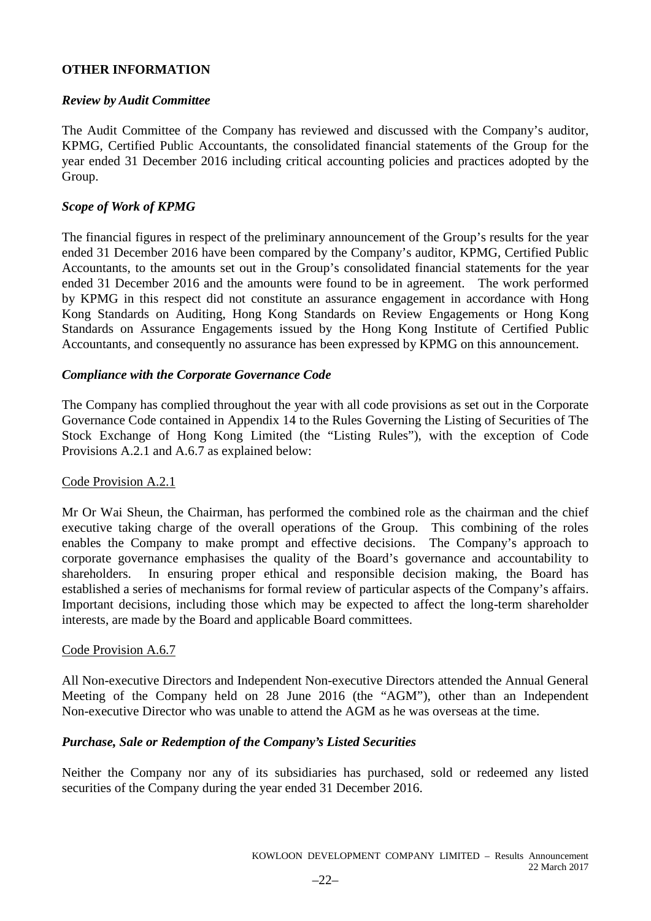# **OTHER INFORMATION**

# *Review by Audit Committee*

The Audit Committee of the Company has reviewed and discussed with the Company's auditor, KPMG, Certified Public Accountants, the consolidated financial statements of the Group for the year ended 31 December 2016 including critical accounting policies and practices adopted by the Group.

# *Scope of Work of KPMG*

The financial figures in respect of the preliminary announcement of the Group's results for the year ended 31 December 2016 have been compared by the Company's auditor, KPMG, Certified Public Accountants, to the amounts set out in the Group's consolidated financial statements for the year ended 31 December 2016 and the amounts were found to be in agreement. The work performed by KPMG in this respect did not constitute an assurance engagement in accordance with Hong Kong Standards on Auditing, Hong Kong Standards on Review Engagements or Hong Kong Standards on Assurance Engagements issued by the Hong Kong Institute of Certified Public Accountants, and consequently no assurance has been expressed by KPMG on this announcement.

# *Compliance with the Corporate Governance Code*

The Company has complied throughout the year with all code provisions as set out in the Corporate Governance Code contained in Appendix 14 to the Rules Governing the Listing of Securities of The Stock Exchange of Hong Kong Limited (the "Listing Rules"), with the exception of Code Provisions A.2.1 and A.6.7 as explained below:

# Code Provision A.2.1

Mr Or Wai Sheun, the Chairman, has performed the combined role as the chairman and the chief executive taking charge of the overall operations of the Group. This combining of the roles enables the Company to make prompt and effective decisions. The Company's approach to corporate governance emphasises the quality of the Board's governance and accountability to shareholders. In ensuring proper ethical and responsible decision making, the Board has established a series of mechanisms for formal review of particular aspects of the Company's affairs. Important decisions, including those which may be expected to affect the long-term shareholder interests, are made by the Board and applicable Board committees.

# Code Provision A.6.7

All Non-executive Directors and Independent Non-executive Directors attended the Annual General Meeting of the Company held on 28 June 2016 (the "AGM"), other than an Independent Non-executive Director who was unable to attend the AGM as he was overseas at the time.

# *Purchase, Sale or Redemption of the Company's Listed Securities*

Neither the Company nor any of its subsidiaries has purchased, sold or redeemed any listed securities of the Company during the year ended 31 December 2016.